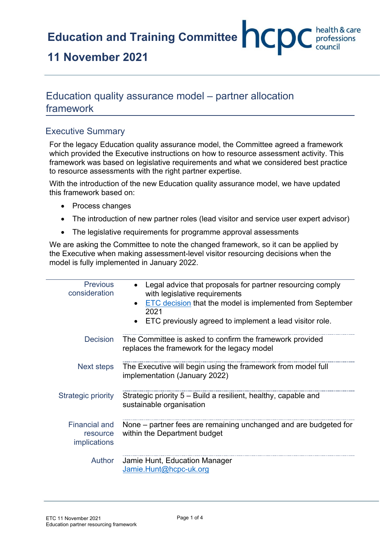**Education and Training Committee <b>CCC** bealth & care

## **11 November 2021**

## Education quality assurance model – partner allocation framework

## Executive Summary

For the legacy Education quality assurance model, the Committee agreed a framework which provided the Executive instructions on how to resource assessment activity. This framework was based on legislative requirements and what we considered best practice to resource assessments with the right partner expertise.

With the introduction of the new Education quality assurance model, we have updated this framework based on:

- Process changes
- The introduction of new partner roles (lead visitor and service user expert advisor)
- The legislative requirements for programme approval assessments

We are asking the Committee to note the changed framework, so it can be applied by the Executive when making assessment-level visitor resourcing decisions when the model is fully implemented in January 2022.

| <b>Previous</b><br>consideration                        | Legal advice that proposals for partner resourcing comply<br>with legislative requirements<br>ETC decision that the model is implemented from September<br>2021<br>ETC previously agreed to implement a lead visitor role. |
|---------------------------------------------------------|----------------------------------------------------------------------------------------------------------------------------------------------------------------------------------------------------------------------------|
| <b>Decision</b>                                         | The Committee is asked to confirm the framework provided<br>replaces the framework for the legacy model                                                                                                                    |
| Next steps                                              | The Executive will begin using the framework from model full<br>implementation (January 2022)                                                                                                                              |
| <b>Strategic priority</b>                               | Strategic priority 5 – Build a resilient, healthy, capable and<br>sustainable organisation                                                                                                                                 |
| <b>Financial and</b><br>resource<br><i>implications</i> | None – partner fees are remaining unchanged and are budgeted for<br>within the Department budget                                                                                                                           |
| Author                                                  | Jamie Hunt, Education Manager<br>Jamie.Hunt@hcpc-uk.org                                                                                                                                                                    |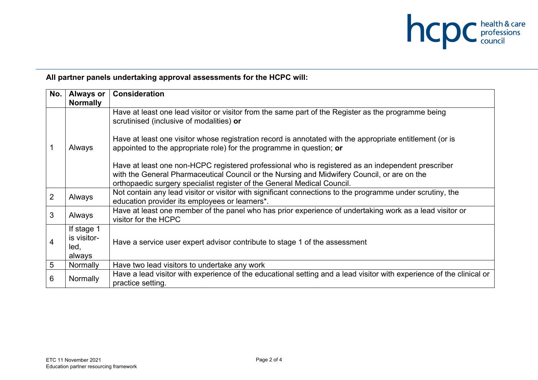

## **All partner panels undertaking approval assessments for the HCPC will:**

| No.             | <b>Always or</b><br><b>Normally</b>         | <b>Consideration</b>                                                                                                                                                                                                                                                                                                                                                                                                                                                                                                                                                                                               |
|-----------------|---------------------------------------------|--------------------------------------------------------------------------------------------------------------------------------------------------------------------------------------------------------------------------------------------------------------------------------------------------------------------------------------------------------------------------------------------------------------------------------------------------------------------------------------------------------------------------------------------------------------------------------------------------------------------|
|                 | Always                                      | Have at least one lead visitor or visitor from the same part of the Register as the programme being<br>scrutinised (inclusive of modalities) or<br>Have at least one visitor whose registration record is annotated with the appropriate entitlement (or is<br>appointed to the appropriate role) for the programme in question; or<br>Have at least one non-HCPC registered professional who is registered as an independent prescriber<br>with the General Pharmaceutical Council or the Nursing and Midwifery Council, or are on the<br>orthopaedic surgery specialist register of the General Medical Council. |
| 2               | Always                                      | Not contain any lead visitor or visitor with significant connections to the programme under scrutiny, the<br>education provider its employees or learners*.                                                                                                                                                                                                                                                                                                                                                                                                                                                        |
| 3               | Always                                      | Have at least one member of the panel who has prior experience of undertaking work as a lead visitor or<br>visitor for the HCPC                                                                                                                                                                                                                                                                                                                                                                                                                                                                                    |
| 4               | If stage 1<br>is visitor-<br>led,<br>always | Have a service user expert advisor contribute to stage 1 of the assessment                                                                                                                                                                                                                                                                                                                                                                                                                                                                                                                                         |
| $5\phantom{.0}$ | Normally                                    | Have two lead visitors to undertake any work                                                                                                                                                                                                                                                                                                                                                                                                                                                                                                                                                                       |
| 6               | Normally                                    | Have a lead visitor with experience of the educational setting and a lead visitor with experience of the clinical or<br>practice setting.                                                                                                                                                                                                                                                                                                                                                                                                                                                                          |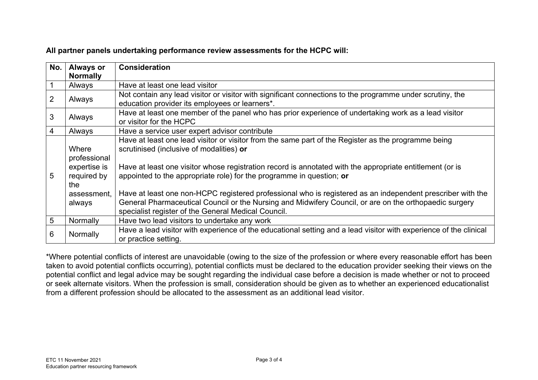|  |  | All partner panels undertaking performance review assessments for the HCPC will: |  |
|--|--|----------------------------------------------------------------------------------|--|
|--|--|----------------------------------------------------------------------------------|--|

| No. | <b>Always or</b><br><b>Normally</b>                         | <b>Consideration</b>                                                                                                                                                                                                                                                                                                                |  |
|-----|-------------------------------------------------------------|-------------------------------------------------------------------------------------------------------------------------------------------------------------------------------------------------------------------------------------------------------------------------------------------------------------------------------------|--|
|     | Always                                                      | Have at least one lead visitor                                                                                                                                                                                                                                                                                                      |  |
| 2   | Always                                                      | Not contain any lead visitor or visitor with significant connections to the programme under scrutiny, the<br>education provider its employees or learners*.                                                                                                                                                                         |  |
| 3   | Always                                                      | Have at least one member of the panel who has prior experience of undertaking work as a lead visitor<br>or visitor for the HCPC                                                                                                                                                                                                     |  |
| 4   | Always                                                      | Have a service user expert advisor contribute                                                                                                                                                                                                                                                                                       |  |
| 5   | Where<br>professional<br>expertise is<br>required by<br>the | Have at least one lead visitor or visitor from the same part of the Register as the programme being<br>scrutinised (inclusive of modalities) or<br>Have at least one visitor whose registration record is annotated with the appropriate entitlement (or is<br>appointed to the appropriate role) for the programme in question; or |  |
|     | assessment,<br>always                                       | Have at least one non-HCPC registered professional who is registered as an independent prescriber with the<br>General Pharmaceutical Council or the Nursing and Midwifery Council, or are on the orthopaedic surgery<br>specialist register of the General Medical Council.                                                         |  |
| 5   | Normally                                                    | Have two lead visitors to undertake any work                                                                                                                                                                                                                                                                                        |  |
| 6   | Normally                                                    | Have a lead visitor with experience of the educational setting and a lead visitor with experience of the clinical<br>or practice setting.                                                                                                                                                                                           |  |

\*Where potential conflicts of interest are unavoidable (owing to the size of the profession or where every reasonable effort has been taken to avoid potential conflicts occurring), potential conflicts must be declared to the education provider seeking their views on the potential conflict and legal advice may be sought regarding the individual case before a decision is made whether or not to proceed or seek alternate visitors. When the profession is small, consideration should be given as to whether an experienced educationalist from a different profession should be allocated to the assessment as an additional lead visitor.